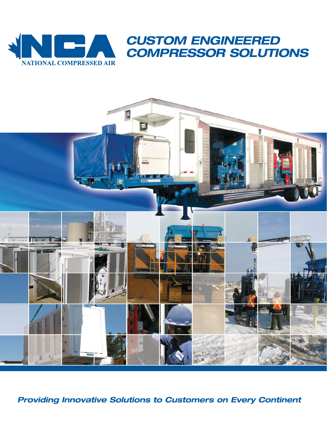



**Providing Innovative Solutions to Customers on Every Continent**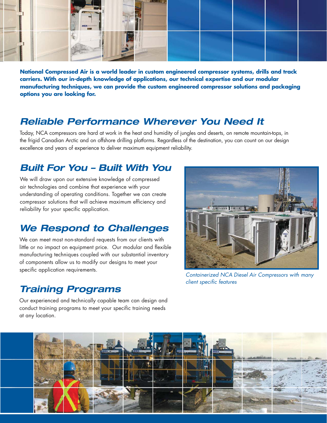

**National Compressed Air is a world leader in custom engineered compressor systems, drills and track carriers. With our in-depth knowledge of applications, our technical expertise and our modular manufacturing techniques, we can provide the custom engineered compressor solutions and packaging options you are looking for.**

### **Reliable Performance Wherever You Need It**

Today, NCA compressors are hard at work in the heat and humidity of jungles and deserts, on remote mountain-tops, in the frigid Canadian Arctic and on offshore drilling platforms. Regardless of the destination, you can count on our design excellence and years of experience to deliver maximum equipment reliability.

### **Built For You – Built With You**

We will draw upon our extensive knowledge of compressed air technologies and combine that experience with your understanding of operating conditions. Together we can create compressor solutions that will achieve maximum efficiency and reliability for your specific application.

## **We Respond to Challenges**

We can meet most non-standard requests from our clients with little or no impact on equipment price. Our modular and flexible manufacturing techniques coupled with our substantial inventory of components allow us to modify our designs to meet your specific application requirements.

### **Training Programs**

Containerized NCA Diesel Air Compressors with many client specific features

Our experienced and technically capable team can design and conduct training programs to meet your specific training needs at any location.

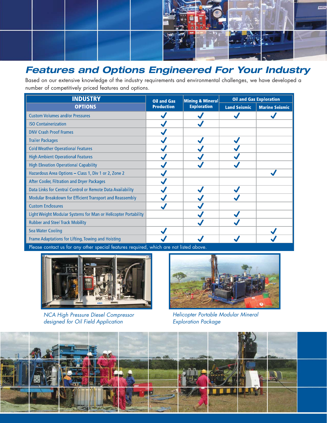

# **Features and Options Engineered For Your Industry**

Based on our extensive knowledge of the industry requirements and environmental challenges, we have developed a number of competitively priced features and options.

| <b>INDUSTRY</b>                                                | <b>Oil and Gas</b><br><b>Production</b> | <b>Mining &amp; Mineral</b><br><b>Exploration</b> | <b>Oil and Gas Exploration</b> |                       |
|----------------------------------------------------------------|-----------------------------------------|---------------------------------------------------|--------------------------------|-----------------------|
| <b>OPTIONS</b>                                                 |                                         |                                                   | <b>Land Seismic</b>            | <b>Marine Seismic</b> |
| <b>Custom Volumes and/or Pressures</b>                         |                                         |                                                   |                                |                       |
| <b>ISO Containerization</b>                                    |                                         |                                                   |                                |                       |
| <b>DNV Crash Proof Frames</b>                                  |                                         |                                                   |                                |                       |
| <b>Trailer Packages</b>                                        |                                         |                                                   |                                |                       |
| <b>Cold Weather Operational Features</b>                       |                                         |                                                   |                                |                       |
| <b>High Ambient Operational Features</b>                       |                                         |                                                   |                                |                       |
| <b>High Elevation Operational Capability</b>                   |                                         |                                                   |                                |                       |
| Hazardous Area Options - Class 1, Div 1 or 2, Zone 2           |                                         |                                                   |                                |                       |
| After Cooler, Filtration and Dryer Packages                    |                                         |                                                   |                                |                       |
| Data Links for Central Control or Remote Data Availability     |                                         |                                                   |                                |                       |
| Modular Breakdown for Efficient Transport and Reassembly       |                                         |                                                   |                                |                       |
| <b>Custom Enclosures</b>                                       |                                         |                                                   |                                |                       |
| Light Weight Modular Systems for Man or Helicopter Portability |                                         |                                                   |                                |                       |
| <b>Rubber and Steel Track Mobility</b>                         |                                         |                                                   |                                |                       |
| <b>Sea Water Cooling</b>                                       |                                         |                                                   |                                |                       |
| Frame Adaptations for Lifting, Towing and Hoisting             |                                         |                                                   |                                |                       |

Please contact us for any other special features required, which are not listed above.



NCA High Pressure Diesel Compressor designed for Oil Field Application



Helicopter Portable Modular Mineral Exploration Package